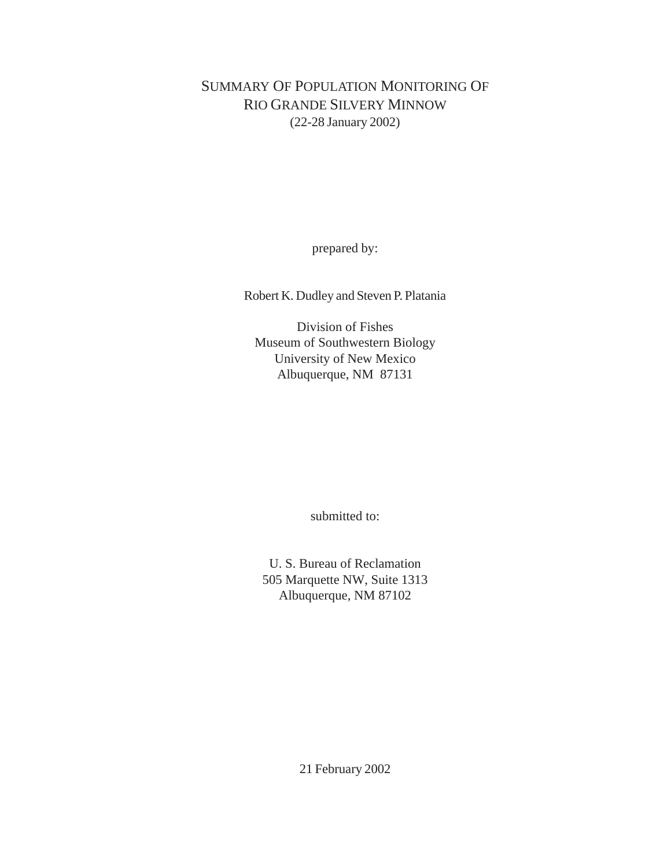# SUMMARY OF POPULATION MONITORING OF RIO GRANDE SILVERY MINNOW (22-28 January 2002)

prepared by:

Robert K. Dudley and Steven P. Platania

Division of Fishes Museum of Southwestern Biology University of New Mexico Albuquerque, NM 87131

submitted to:

U. S. Bureau of Reclamation 505 Marquette NW, Suite 1313 Albuquerque, NM 87102

21 February 2002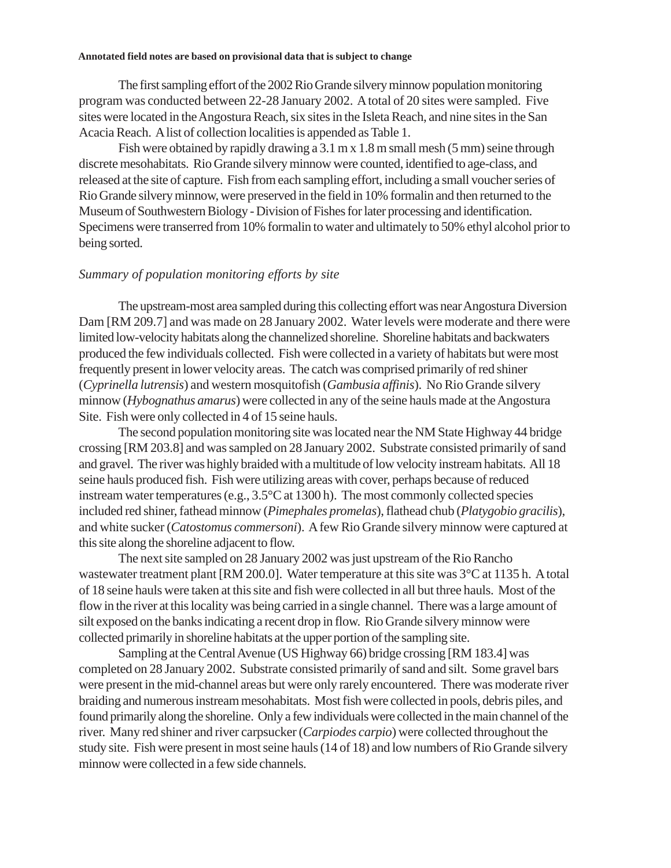The first sampling effort of the 2002 Rio Grande silvery minnow population monitoring program was conducted between 22-28 January 2002. A total of 20 sites were sampled. Five sites were located in the Angostura Reach, six sites in the Isleta Reach, and nine sites in the San Acacia Reach. A list of collection localities is appended as Table 1.

Fish were obtained by rapidly drawing a 3.1 m x 1.8 m small mesh (5 mm) seine through discrete mesohabitats. Rio Grande silvery minnow were counted, identified to age-class, and released at the site of capture. Fish from each sampling effort, including a small voucher series of Rio Grande silvery minnow, were preserved in the field in 10% formalin and then returned to the Museum of Southwestern Biology - Division of Fishes for later processing and identification. Specimens were transerred from 10% formalin to water and ultimately to 50% ethyl alcohol prior to being sorted.

## *Summary of population monitoring efforts by site*

The upstream-most area sampled during this collecting effort was near Angostura Diversion Dam [RM 209.7] and was made on 28 January 2002. Water levels were moderate and there were limited low-velocity habitats along the channelized shoreline. Shoreline habitats and backwaters produced the few individuals collected. Fish were collected in a variety of habitats but were most frequently present in lower velocity areas. The catch was comprised primarily of red shiner (*Cyprinella lutrensis*) and western mosquitofish (*Gambusia affinis*). No Rio Grande silvery minnow (*Hybognathus amarus*) were collected in any of the seine hauls made at the Angostura Site. Fish were only collected in 4 of 15 seine hauls.

The second population monitoring site was located near the NM State Highway 44 bridge crossing [RM 203.8] and was sampled on 28 January 2002. Substrate consisted primarily of sand and gravel. The river was highly braided with a multitude of low velocity instream habitats. All 18 seine hauls produced fish. Fish were utilizing areas with cover, perhaps because of reduced instream water temperatures (e.g., 3.5°C at 1300 h). The most commonly collected species included red shiner, fathead minnow (*Pimephales promelas*), flathead chub (*Platygobio gracilis*), and white sucker (*Catostomus commersoni*). A few Rio Grande silvery minnow were captured at this site along the shoreline adjacent to flow.

The next site sampled on 28 January 2002 was just upstream of the Rio Rancho wastewater treatment plant [RM 200.0]. Water temperature at this site was 3°C at 1135 h. A total of 18 seine hauls were taken at this site and fish were collected in all but three hauls. Most of the flow in the river at this locality was being carried in a single channel. There was a large amount of silt exposed on the banks indicating a recent drop in flow. Rio Grande silvery minnow were collected primarily in shoreline habitats at the upper portion of the sampling site.

Sampling at the Central Avenue (US Highway 66) bridge crossing [RM 183.4] was completed on 28 January 2002. Substrate consisted primarily of sand and silt. Some gravel bars were present in the mid-channel areas but were only rarely encountered. There was moderate river braiding and numerous instream mesohabitats. Most fish were collected in pools, debris piles, and found primarily along the shoreline. Only a few individuals were collected in the main channel of the river. Many red shiner and river carpsucker (*Carpiodes carpio*) were collected throughout the study site. Fish were present in most seine hauls (14 of 18) and low numbers of Rio Grande silvery minnow were collected in a few side channels.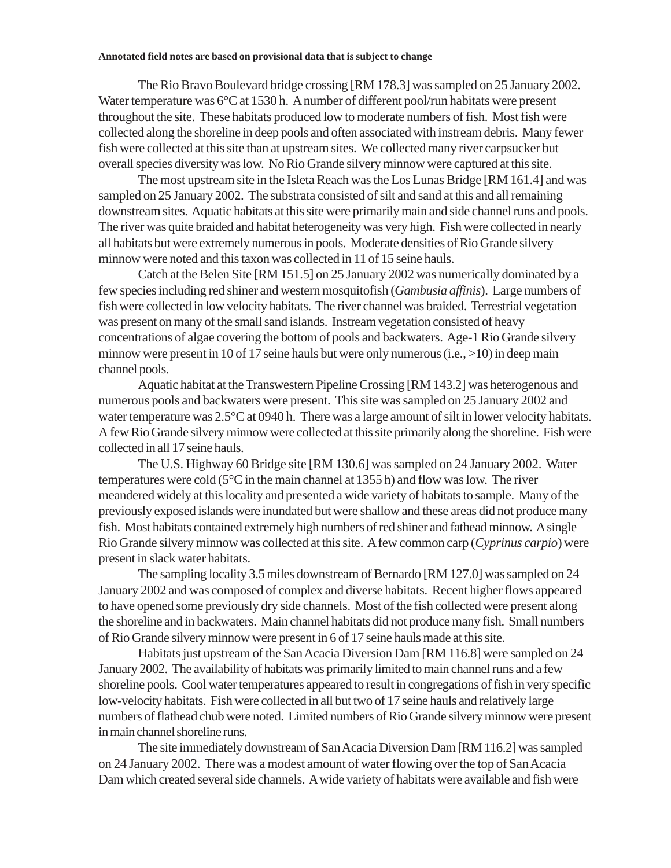The Rio Bravo Boulevard bridge crossing [RM 178.3] was sampled on 25 January 2002. Water temperature was  $6^{\circ}$ C at 1530 h. A number of different pool/run habitats were present throughout the site. These habitats produced low to moderate numbers of fish. Most fish were collected along the shoreline in deep pools and often associated with instream debris. Many fewer fish were collected at this site than at upstream sites. We collected many river carpsucker but overall species diversity was low. No Rio Grande silvery minnow were captured at this site.

The most upstream site in the Isleta Reach was the Los Lunas Bridge [RM 161.4] and was sampled on 25 January 2002. The substrata consisted of silt and sand at this and all remaining downstream sites. Aquatic habitats at this site were primarily main and side channel runs and pools. The river was quite braided and habitat heterogeneity was very high. Fish were collected in nearly all habitats but were extremely numerous in pools. Moderate densities of Rio Grande silvery minnow were noted and this taxon was collected in 11 of 15 seine hauls.

Catch at the Belen Site [RM 151.5] on 25 January 2002 was numerically dominated by a few species including red shiner and western mosquitofish (*Gambusia affinis*). Large numbers of fish were collected in low velocity habitats. The river channel was braided. Terrestrial vegetation was present on many of the small sand islands. Instream vegetation consisted of heavy concentrations of algae covering the bottom of pools and backwaters. Age-1 Rio Grande silvery minnow were present in 10 of 17 seine hauls but were only numerous (i.e., >10) in deep main channel pools.

Aquatic habitat at the Transwestern Pipeline Crossing [RM 143.2] was heterogenous and numerous pools and backwaters were present. This site was sampled on 25 January 2002 and water temperature was  $2.5^{\circ}$ C at 0940 h. There was a large amount of silt in lower velocity habitats. A few Rio Grande silvery minnow were collected at this site primarily along the shoreline. Fish were collected in all 17 seine hauls.

The U.S. Highway 60 Bridge site [RM 130.6] was sampled on 24 January 2002. Water temperatures were cold (5°C in the main channel at 1355 h) and flow was low. The river meandered widely at this locality and presented a wide variety of habitats to sample. Many of the previously exposed islands were inundated but were shallow and these areas did not produce many fish. Most habitats contained extremely high numbers of red shiner and fathead minnow. A single Rio Grande silvery minnow was collected at this site. A few common carp (*Cyprinus carpio*) were present in slack water habitats.

The sampling locality 3.5 miles downstream of Bernardo [RM 127.0] was sampled on 24 January 2002 and was composed of complex and diverse habitats. Recent higher flows appeared to have opened some previously dry side channels. Most of the fish collected were present along the shoreline and in backwaters. Main channel habitats did not produce many fish. Small numbers of Rio Grande silvery minnow were present in 6 of 17 seine hauls made at this site.

Habitats just upstream of the San Acacia Diversion Dam [RM 116.8] were sampled on 24 January 2002. The availability of habitats was primarily limited to main channel runs and a few shoreline pools. Cool water temperatures appeared to result in congregations of fish in very specific low-velocity habitats. Fish were collected in all but two of 17 seine hauls and relatively large numbers of flathead chub were noted. Limited numbers of Rio Grande silvery minnow were present in main channel shoreline runs.

The site immediately downstream of San Acacia Diversion Dam [RM 116.2] was sampled on 24 January 2002. There was a modest amount of water flowing over the top of San Acacia Dam which created several side channels. A wide variety of habitats were available and fish were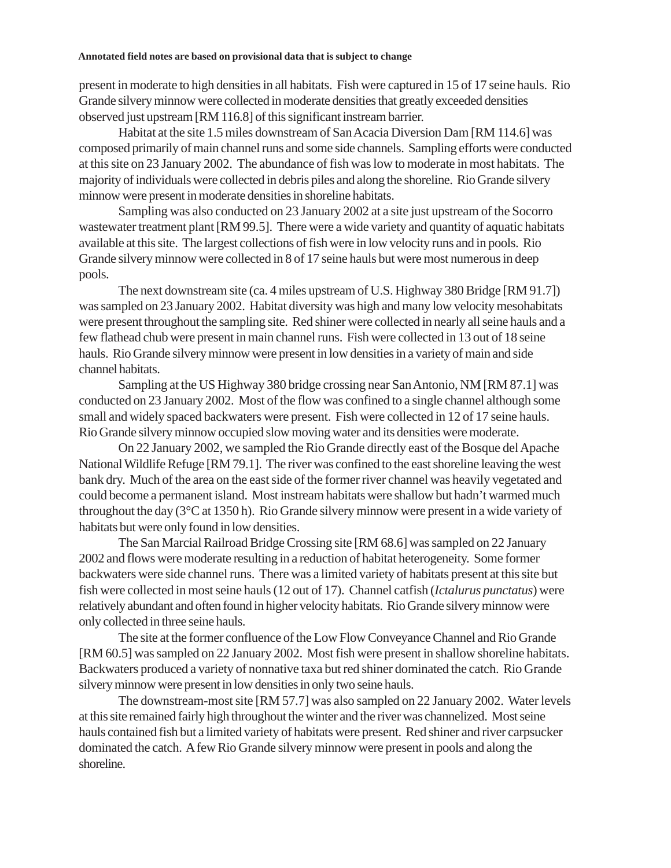present in moderate to high densities in all habitats. Fish were captured in 15 of 17 seine hauls. Rio Grande silvery minnow were collected in moderate densities that greatly exceeded densities observed just upstream [RM 116.8] of this significant instream barrier.

Habitat at the site 1.5 miles downstream of San Acacia Diversion Dam [RM 114.6] was composed primarily of main channel runs and some side channels. Sampling efforts were conducted at this site on 23 January 2002. The abundance of fish was low to moderate in most habitats. The majority of individuals were collected in debris piles and along the shoreline. Rio Grande silvery minnow were present in moderate densities in shoreline habitats.

Sampling was also conducted on 23 January 2002 at a site just upstream of the Socorro wastewater treatment plant [RM 99.5]. There were a wide variety and quantity of aquatic habitats available at this site. The largest collections of fish were in low velocity runs and in pools. Rio Grande silvery minnow were collected in 8 of 17 seine hauls but were most numerous in deep pools.

The next downstream site (ca. 4 miles upstream of U.S. Highway 380 Bridge [RM 91.7]) was sampled on 23 January 2002. Habitat diversity was high and many low velocity mesohabitats were present throughout the sampling site. Red shiner were collected in nearly all seine hauls and a few flathead chub were present in main channel runs. Fish were collected in 13 out of 18 seine hauls. Rio Grande silvery minnow were present in low densities in a variety of main and side channel habitats.

Sampling at the US Highway 380 bridge crossing near San Antonio, NM [RM 87.1] was conducted on 23 January 2002. Most of the flow was confined to a single channel although some small and widely spaced backwaters were present. Fish were collected in 12 of 17 seine hauls. Rio Grande silvery minnow occupied slow moving water and its densities were moderate.

On 22 January 2002, we sampled the Rio Grande directly east of the Bosque del Apache National Wildlife Refuge [RM 79.1]. The river was confined to the east shoreline leaving the west bank dry. Much of the area on the east side of the former river channel was heavily vegetated and could become a permanent island. Most instream habitats were shallow but hadn't warmed much throughout the day (3°C at 1350 h). Rio Grande silvery minnow were present in a wide variety of habitats but were only found in low densities.

The San Marcial Railroad Bridge Crossing site [RM 68.6] was sampled on 22 January 2002 and flows were moderate resulting in a reduction of habitat heterogeneity. Some former backwaters were side channel runs. There was a limited variety of habitats present at this site but fish were collected in most seine hauls (12 out of 17). Channel catfish (*Ictalurus punctatus*) were relatively abundant and often found in higher velocity habitats. Rio Grande silvery minnow were only collected in three seine hauls.

The site at the former confluence of the Low Flow Conveyance Channel and Rio Grande [RM 60.5] was sampled on 22 January 2002. Most fish were present in shallow shoreline habitats. Backwaters produced a variety of nonnative taxa but red shiner dominated the catch. Rio Grande silvery minnow were present in low densities in only two seine hauls.

The downstream-most site [RM 57.7] was also sampled on 22 January 2002. Water levels at this site remained fairly high throughout the winter and the river was channelized. Most seine hauls contained fish but a limited variety of habitats were present. Red shiner and river carpsucker dominated the catch. A few Rio Grande silvery minnow were present in pools and along the shoreline.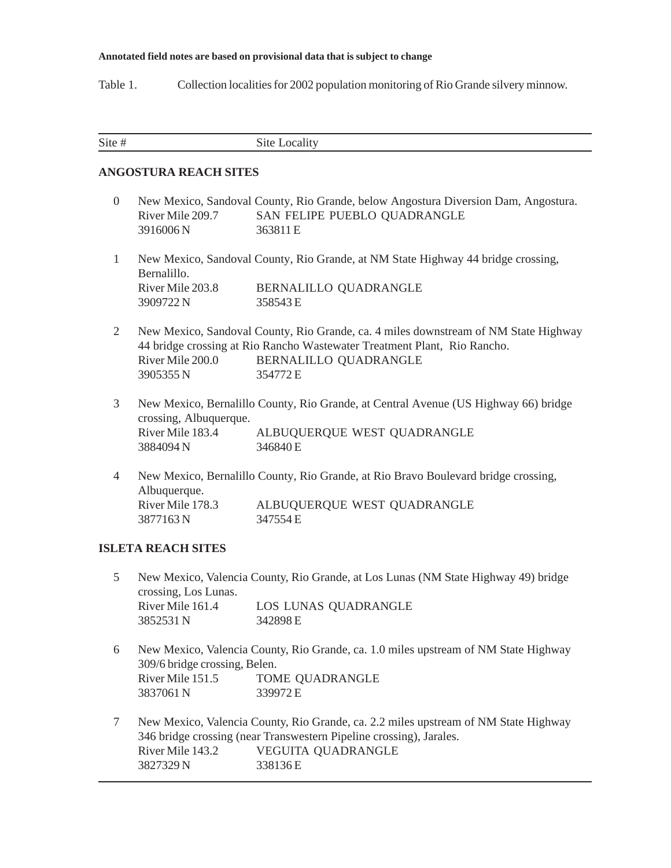Table 1. Collection localities for 2002 population monitoring of Rio Grande silvery minnow.

| Site |  |
|------|--|
|      |  |

## **ANGOSTURA REACH SITES**

| $\overline{0}$ |                               | New Mexico, Sandoval County, Rio Grande, below Angostura Diversion Dam, Angostura.                                                                                                                   |
|----------------|-------------------------------|------------------------------------------------------------------------------------------------------------------------------------------------------------------------------------------------------|
|                | River Mile 209.7              | SAN FELIPE PUEBLO QUADRANGLE                                                                                                                                                                         |
|                | 3916006N                      | 363811 E                                                                                                                                                                                             |
| $\mathbf{1}$   | Bernalillo.                   | New Mexico, Sandoval County, Rio Grande, at NM State Highway 44 bridge crossing,                                                                                                                     |
|                | River Mile 203.8              | BERNALILLO QUADRANGLE                                                                                                                                                                                |
|                | 3909722 N                     | 358543 E                                                                                                                                                                                             |
| $\overline{2}$ | River Mile 200.0<br>3905355 N | New Mexico, Sandoval County, Rio Grande, ca. 4 miles downstream of NM State Highway<br>44 bridge crossing at Rio Rancho Wastewater Treatment Plant, Rio Rancho.<br>BERNALILLO QUADRANGLE<br>354772 E |
| 3              | crossing, Albuquerque.        | New Mexico, Bernalillo County, Rio Grande, at Central Avenue (US Highway 66) bridge                                                                                                                  |
|                | River Mile 183.4<br>3884094 N | ALBUQUERQUE WEST QUADRANGLE<br>346840 E                                                                                                                                                              |
| 4              | Albuquerque.                  | New Mexico, Bernalillo County, Rio Grande, at Rio Bravo Boulevard bridge crossing,                                                                                                                   |
|                | River Mile 178.3              | ALBUQUERQUE WEST QUADRANGLE                                                                                                                                                                          |

## **ISLETA REACH SITES**

3877163 N 347554 E

- 5 New Mexico, Valencia County, Rio Grande, at Los Lunas (NM State Highway 49) bridge crossing, Los Lunas. River Mile 161.4 LOS LUNAS QUADRANGLE 3852531 N 342898 E
- 6 New Mexico, Valencia County, Rio Grande, ca. 1.0 miles upstream of NM State Highway 309/6 bridge crossing, Belen. River Mile 151.5 TOME QUADRANGLE 3837061 N 339972 E
- 7 New Mexico, Valencia County, Rio Grande, ca. 2.2 miles upstream of NM State Highway 346 bridge crossing (near Transwestern Pipeline crossing), Jarales. River Mile 143.2 VEGUITA QUADRANGLE 3827329 N 338136 E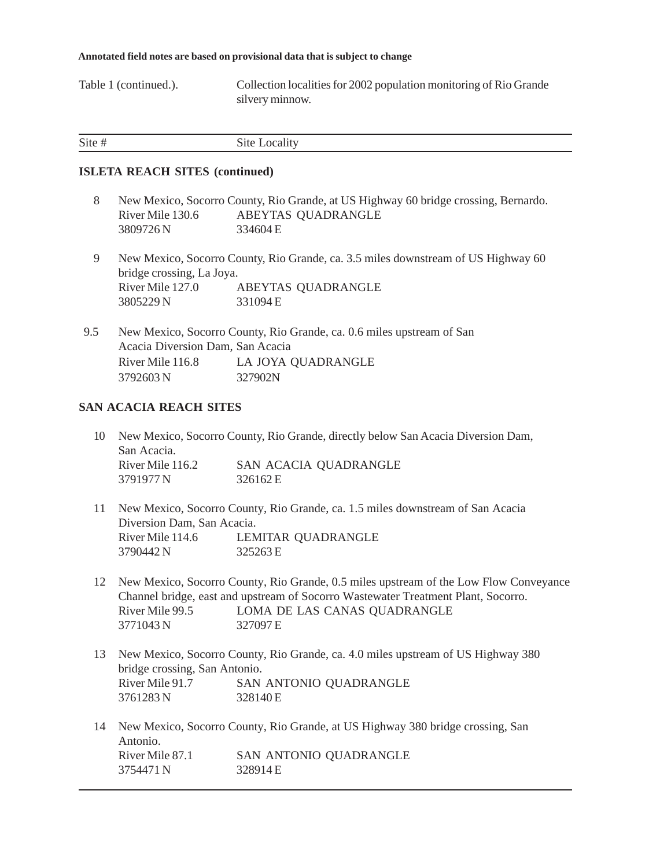Table 1 (continued.). Collection localities for 2002 population monitoring of Rio Grande silvery minnow.

|  | Site # | Site Locality |
|--|--------|---------------|
|--|--------|---------------|

### **ISLETA REACH SITES (continued)**

- 8 New Mexico, Socorro County, Rio Grande, at US Highway 60 bridge crossing, Bernardo. River Mile 130.6 ABEYTAS QUADRANGLE 3809726 N 334604 E
- 9 New Mexico, Socorro County, Rio Grande, ca. 3.5 miles downstream of US Highway 60 bridge crossing, La Joya. River Mile 127.0 ABEYTAS QUADRANGLE 3805229 N 331094 E
- 9.5 New Mexico, Socorro County, Rio Grande, ca. 0.6 miles upstream of San Acacia Diversion Dam, San Acacia River Mile 116.8 LA JOYA QUADRANGLE 3792603 N 327902N

## **SAN ACACIA REACH SITES**

- 10 New Mexico, Socorro County, Rio Grande, directly below San Acacia Diversion Dam, San Acacia. River Mile 116.2 SAN ACACIA QUADRANGLE 3791977 N 326162 E
- 11 New Mexico, Socorro County, Rio Grande, ca. 1.5 miles downstream of San Acacia Diversion Dam, San Acacia. River Mile 114.6 LEMITAR QUADRANGLE 3790442 N 325263 E
- 12 New Mexico, Socorro County, Rio Grande, 0.5 miles upstream of the Low Flow Conveyance Channel bridge, east and upstream of Socorro Wastewater Treatment Plant, Socorro. River Mile 99.5 LOMA DE LAS CANAS QUADRANGLE 3771043 N 327097 E
- 13 New Mexico, Socorro County, Rio Grande, ca. 4.0 miles upstream of US Highway 380 bridge crossing, San Antonio. River Mile 91.7 SAN ANTONIO QUADRANGLE 3761283 N 328140 E
- 14 New Mexico, Socorro County, Rio Grande, at US Highway 380 bridge crossing, San Antonio. River Mile 87.1 SAN ANTONIO QUADRANGLE 3754471 N 328914 E